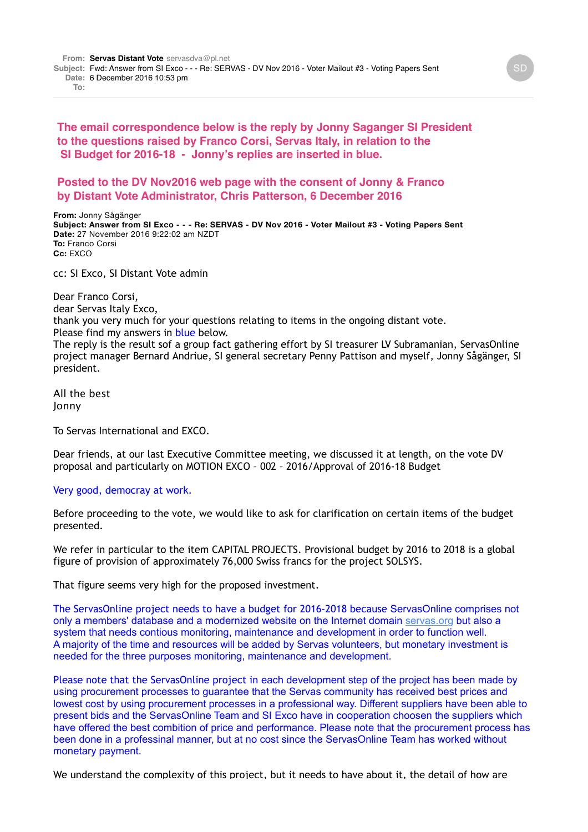**The email correspondence below is the reply by Jonny Saganger SI President to the questions raised by Franco Corsi, Servas Italy, in relation to the SI Budget for 2016-18 - Jonny's replies are inserted in blue.**

## **Posted to the DV Nov2016 web page with the consent of Jonny & Franco by Distant Vote Administrator, Chris Patterson, 6 December 2016**

**From:** Jonny Sågänger **Subject: Answer from SI Exco - - - Re: SERVAS - DV Nov 2016 - Voter Mailout #3 - Voting Papers Sent Date:** 27 November 2016 9:22:02 am NZDT **To:** Franco Corsi **Cc:** EXCO

cc: SI Exco, SI Distant Vote admin

Dear Franco Corsi, dear Servas Italy Exco, thank you very much for your questions relating to items in the ongoing distant vote. Please find my answers in blue below. The reply is the result sof a group fact gathering effort by SI treasurer LV Subramanian, ServasOnline project manager Bernard Andriue, SI general secretary Penny Pattison and myself, Jonny Sågänger, SI president.

All the best Jonny

To Servas International and EXCO.

Dear friends, at our last Executive Committee meeting, we discussed it at length, on the vote DV proposal and particularly on MOTION EXCO – 002 – 2016/Approval of 2016-18 Budget

## Very good, democray at work.

Before proceeding to the vote, we would like to ask for clarification on certain items of the budget presented.

We refer in particular to the item CAPITAL PROJECTS. Provisional budget by 2016 to 2018 is a global figure of provision of approximately 76,000 Swiss francs for the project SOLSYS.

That figure seems very high for the proposed investment.

The ServasOnline project needs to have a budget for 2016-2018 because ServasOnline comprises not only a members' database and a modernized website on the Internet domain [servas.org](http://servas.org/) but also a system that needs contious monitoring, maintenance and development in order to function well. A majority of the time and resources will be added by Servas volunteers, but monetary investment is needed for the three purposes monitoring, maintenance and development.

Please note that the ServasOnline project in each development step of the project has been made by using procurement processes to guarantee that the Servas community has received best prices and lowest cost by using procurement processes in a professional way. Different suppliers have been able to present bids and the ServasOnline Team and SI Exco have in cooperation choosen the suppliers which have offered the best combition of price and performance. Please note that the procurement process has been done in a professinal manner, but at no cost since the ServasOnline Team has worked without monetary payment.

We understand the complexity of this project, but it needs to have about it, the detail of how are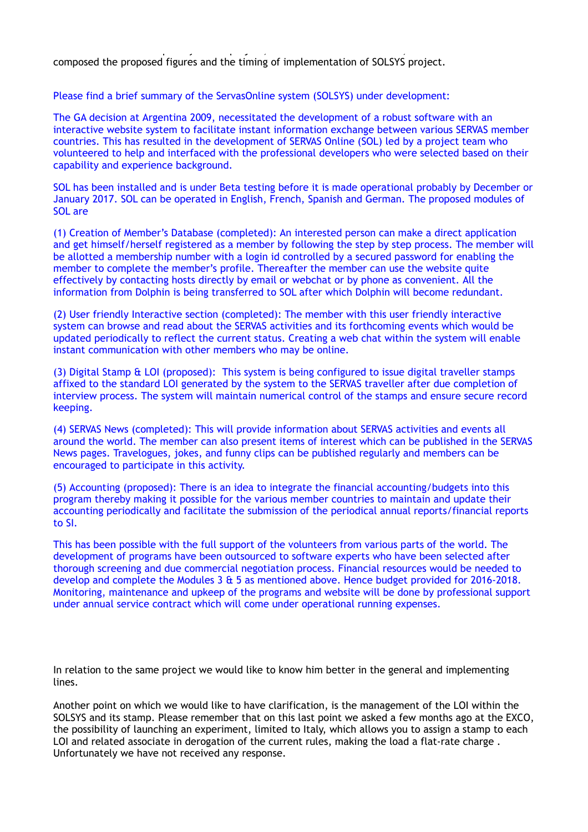We understand the complexity of this project, but it needs to have about it, the detail of how are detailed to composed the proposed figures and the timing of implementation of SOLSYS project.

Please find a brief summary of the ServasOnline system (SOLSYS) under development:

The GA decision at Argentina 2009, necessitated the development of a robust software with an interactive website system to facilitate instant information exchange between various SERVAS member countries. This has resulted in the development of SERVAS Online (SOL) led by a project team who volunteered to help and interfaced with the professional developers who were selected based on their capability and experience background.

SOL has been installed and is under Beta testing before it is made operational probably by December or January 2017. SOL can be operated in English, French, Spanish and German. The proposed modules of SOL are

(1) Creation of Member's Database (completed): An interested person can make a direct application and get himself/herself registered as a member by following the step by step process. The member will be allotted a membership number with a login id controlled by a secured password for enabling the member to complete the member's profile. Thereafter the member can use the website quite effectively by contacting hosts directly by email or webchat or by phone as convenient. All the information from Dolphin is being transferred to SOL after which Dolphin will become redundant.

(2) User friendly Interactive section (completed): The member with this user friendly interactive system can browse and read about the SERVAS activities and its forthcoming events which would be updated periodically to reflect the current status. Creating a web chat within the system will enable instant communication with other members who may be online.

(3) Digital Stamp & LOI (proposed): This system is being configured to issue digital traveller stamps affixed to the standard LOI generated by the system to the SERVAS traveller after due completion of interview process. The system will maintain numerical control of the stamps and ensure secure record keeping.

(4) SERVAS News (completed): This will provide information about SERVAS activities and events all around the world. The member can also present items of interest which can be published in the SERVAS News pages. Travelogues, jokes, and funny clips can be published regularly and members can be encouraged to participate in this activity.

(5) Accounting (proposed): There is an idea to integrate the financial accounting/budgets into this program thereby making it possible for the various member countries to maintain and update their accounting periodically and facilitate the submission of the periodical annual reports/financial reports to SI.

This has been possible with the full support of the volunteers from various parts of the world. The development of programs have been outsourced to software experts who have been selected after thorough screening and due commercial negotiation process. Financial resources would be needed to develop and complete the Modules 3 & 5 as mentioned above. Hence budget provided for 2016-2018. Monitoring, maintenance and upkeep of the programs and website will be done by professional support under annual service contract which will come under operational running expenses.

In relation to the same project we would like to know him better in the general and implementing lines.

Another point on which we would like to have clarification, is the management of the LOI within the SOLSYS and its stamp. Please remember that on this last point we asked a few months ago at the EXCO, the possibility of launching an experiment, limited to Italy, which allows you to assign a stamp to each LOI and related associate in derogation of the current rules, making the load a flat-rate charge . Unfortunately we have not received any response.